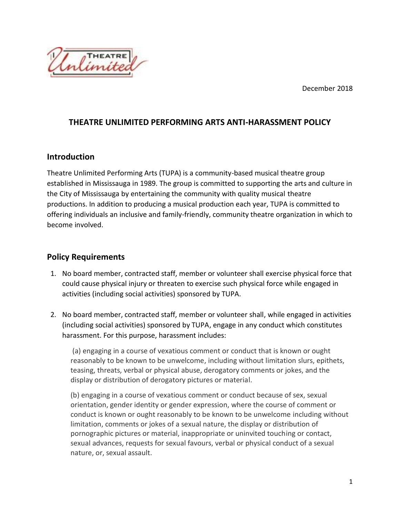December 2018



## **THEATRE UNLIMITED PERFORMING ARTS ANTI-HARASSMENT POLICY**

## **Introduction**

Theatre Unlimited Performing Arts (TUPA) is a community-based musical theatre group established in Mississauga in 1989. The group is committed to supporting the arts and culture in the City of Mississauga by entertaining the community with quality musical theatre productions. In addition to producing a musical production each year, TUPA is committed to offering individuals an inclusive and family-friendly, community theatre organization in which to become involved.

## **Policy Requirements**

- 1. No board member, contracted staff, member or volunteer shall exercise physical force that could cause physical injury or threaten to exercise such physical force while engaged in activities (including social activities) sponsored by TUPA.
- 2. No board member, contracted staff, member or volunteer shall, while engaged in activities (including social activities) sponsored by TUPA, engage in any conduct which constitutes harassment. For this purpose, harassment includes:

(a) engaging in a course of vexatious comment or conduct that is known or ought reasonably to be known to be unwelcome, including without limitation slurs, epithets, teasing, threats, verbal or physical abuse, derogatory comments or jokes, and the display or distribution of derogatory pictures or material.

(b) engaging in a course of vexatious comment or conduct because of sex, sexual orientation, gender identity or gender expression, where the course of comment or conduct is known or ought reasonably to be known to be unwelcome including without limitation, comments or jokes of a sexual nature, the display or distribution of pornographic pictures or material, inappropriate or uninvited touching or contact, sexual advances, requests for sexual favours, verbal or physical conduct of a sexual nature, or, sexual assault.